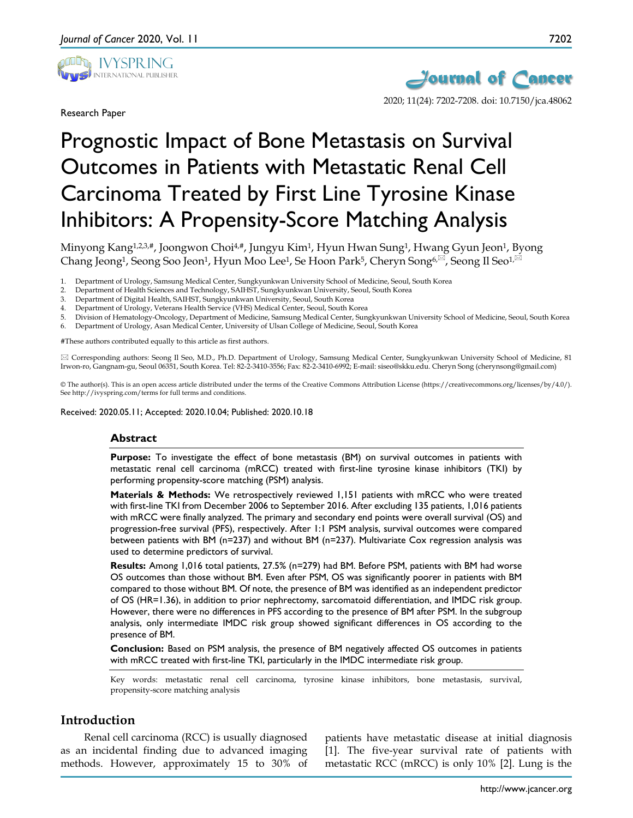

Research Paper



2020; 11(24): 7202-7208. doi: 10.7150/jca.48062

# Prognostic Impact of Bone Metastasis on Survival Outcomes in Patients with Metastatic Renal Cell Carcinoma Treated by First Line Tyrosine Kinase Inhibitors: A Propensity-Score Matching Analysis

Minyong Kang<sup>1,2,3,#</sup>, Joongwon Choi<sup>4,#</sup>, Jungyu Kim<sup>1</sup>, Hyun Hwan Sung<sup>1</sup>, Hwang Gyun Jeon<sup>1</sup>, Byong Chang Jeong<sup>1</sup>, Seong Soo Jeon<sup>1</sup>, Hyun Moo Lee<sup>1</sup>, Se Hoon Park<sup>5</sup>, Cheryn Song<sup>6, $\boxtimes$ </sup>, Seong Il Seo<sup>1, $\boxtimes$ </sup>

- 1. Department of Urology, Samsung Medical Center, Sungkyunkwan University School of Medicine, Seoul, South Korea
- 2. Department of Health Sciences and Technology, SAIHST, Sungkyunkwan University, Seoul, South Korea
- 3. Department of Digital Health, SAIHST, Sungkyunkwan University, Seoul, South Korea
- 4. Department of Urology, Veterans Health Service (VHS) Medical Center, Seoul, South Korea
- 5. Division of Hematology-Oncology, Department of Medicine, Samsung Medical Center, Sungkyunkwan University School of Medicine, Seoul, South Korea
- 6. Department of Urology, Asan Medical Center, University of Ulsan College of Medicine, Seoul, South Korea

#These authors contributed equally to this article as first authors.

 Corresponding authors: Seong Il Seo, M.D., Ph.D. Department of Urology, Samsung Medical Center, Sungkyunkwan University School of Medicine, 81 Irwon-ro, Gangnam-gu, Seoul 06351, South Korea. Tel: 82-2-3410-3556; Fax: 82-2-3410-6992; E-mail: siseo@skku.edu. Cheryn Song (cherynsong@gmail.com)

© The author(s). This is an open access article distributed under the terms of the Creative Commons Attribution License (https://creativecommons.org/licenses/by/4.0/). See http://ivyspring.com/terms for full terms and conditions.

Received: 2020.05.11; Accepted: 2020.10.04; Published: 2020.10.18

#### **Abstract**

**Purpose:** To investigate the effect of bone metastasis (BM) on survival outcomes in patients with metastatic renal cell carcinoma (mRCC) treated with first-line tyrosine kinase inhibitors (TKI) by performing propensity-score matching (PSM) analysis.

**Materials & Methods:** We retrospectively reviewed 1,151 patients with mRCC who were treated with first-line TKI from December 2006 to September 2016. After excluding 135 patients, 1,016 patients with mRCC were finally analyzed. The primary and secondary end points were overall survival (OS) and progression-free survival (PFS), respectively. After 1:1 PSM analysis, survival outcomes were compared between patients with BM (n*=*237) and without BM (n*=*237). Multivariate Cox regression analysis was used to determine predictors of survival.

**Results:** Among 1,016 total patients, 27.5% (n*=*279) had BM. Before PSM, patients with BM had worse OS outcomes than those without BM. Even after PSM, OS was significantly poorer in patients with BM compared to those without BM. Of note, the presence of BM was identified as an independent predictor of OS (HR=1.36), in addition to prior nephrectomy, sarcomatoid differentiation, and IMDC risk group. However, there were no differences in PFS according to the presence of BM after PSM. In the subgroup analysis, only intermediate IMDC risk group showed significant differences in OS according to the presence of BM.

**Conclusion:** Based on PSM analysis, the presence of BM negatively affected OS outcomes in patients with mRCC treated with first-line TKI, particularly in the IMDC intermediate risk group.

Key words: metastatic renal cell carcinoma, tyrosine kinase inhibitors, bone metastasis, survival, propensity-score matching analysis

# **Introduction**

Renal cell carcinoma (RCC) is usually diagnosed as an incidental finding due to advanced imaging methods. However, approximately 15 to 30% of patients have metastatic disease at initial diagnosis [1]. The five-year survival rate of patients with metastatic RCC (mRCC) is only 10% [2]. Lung is the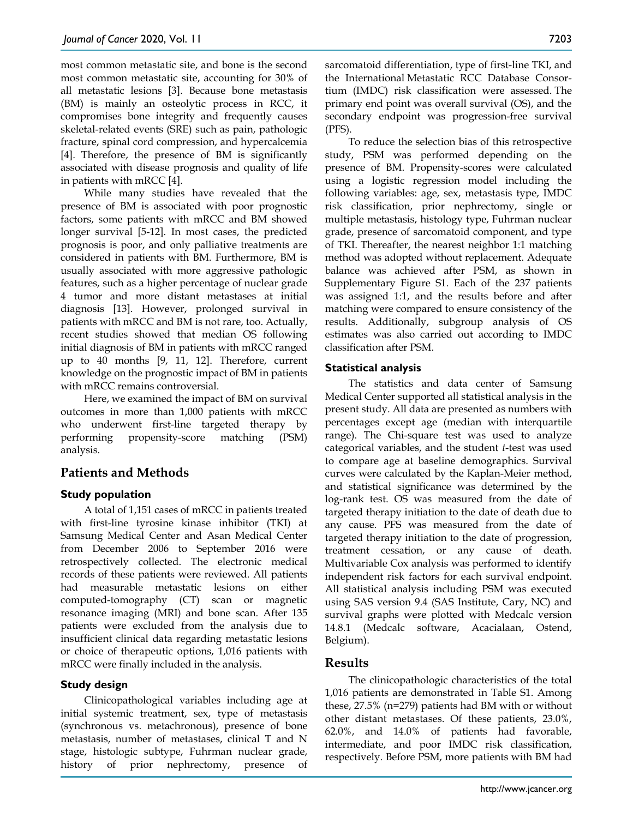most common metastatic site, and bone is the second most common metastatic site, accounting for 30% of all metastatic lesions [3]. Because bone metastasis (BM) is mainly an osteolytic process in RCC, it compromises bone integrity and frequently causes skeletal-related events (SRE) such as pain, pathologic fracture, spinal cord compression, and hypercalcemia [4]. Therefore, the presence of BM is significantly associated with disease prognosis and quality of life in patients with mRCC [4].

While many studies have revealed that the presence of BM is associated with poor prognostic factors, some patients with mRCC and BM showed longer survival [5-12]. In most cases, the predicted prognosis is poor, and only palliative treatments are considered in patients with BM. Furthermore, BM is usually associated with more aggressive pathologic features, such as a higher percentage of nuclear grade 4 tumor and more distant metastases at initial diagnosis [13]. However, prolonged survival in patients with mRCC and BM is not rare, too. Actually, recent studies showed that median OS following initial diagnosis of BM in patients with mRCC ranged up to 40 months [9, 11, 12]. Therefore, current knowledge on the prognostic impact of BM in patients with mRCC remains controversial.

Here, we examined the impact of BM on survival outcomes in more than 1,000 patients with mRCC who underwent first-line targeted therapy by performing propensity-score matching (PSM) analysis.

# **Patients and Methods**

# **Study population**

A total of 1,151 cases of mRCC in patients treated with first-line tyrosine kinase inhibitor (TKI) at Samsung Medical Center and Asan Medical Center from December 2006 to September 2016 were retrospectively collected. The electronic medical records of these patients were reviewed. All patients had measurable metastatic lesions on either computed-tomography (CT) scan or magnetic resonance imaging (MRI) and bone scan. After 135 patients were excluded from the analysis due to insufficient clinical data regarding metastatic lesions or choice of therapeutic options, 1,016 patients with mRCC were finally included in the analysis.

### **Study design**

Clinicopathological variables including age at initial systemic treatment, sex, type of metastasis (synchronous vs. metachronous), presence of bone metastasis, number of metastases, clinical T and N stage, histologic subtype, Fuhrman nuclear grade, history of prior nephrectomy, presence of

sarcomatoid differentiation, type of first-line TKI, and the International Metastatic RCC Database Consortium (IMDC) risk classification were assessed. The primary end point was overall survival (OS), and the secondary endpoint was progression-free survival (PFS).

To reduce the selection bias of this retrospective study, PSM was performed depending on the presence of BM. Propensity-scores were calculated using a logistic regression model including the following variables: age, sex, metastasis type, IMDC risk classification, prior nephrectomy, single or multiple metastasis, histology type, Fuhrman nuclear grade, presence of sarcomatoid component, and type of TKI. Thereafter, the nearest neighbor 1:1 matching method was adopted without replacement. Adequate balance was achieved after PSM, as shown in Supplementary Figure S1. Each of the 237 patients was assigned 1:1, and the results before and after matching were compared to ensure consistency of the results. Additionally, subgroup analysis of OS estimates was also carried out according to IMDC classification after PSM.

## **Statistical analysis**

The statistics and data center of Samsung Medical Center supported all statistical analysis in the present study. All data are presented as numbers with percentages except age (median with interquartile range). The Chi-square test was used to analyze categorical variables, and the student *t*-test was used to compare age at baseline demographics. Survival curves were calculated by the Kaplan-Meier method, and statistical significance was determined by the log-rank test. OS was measured from the date of targeted therapy initiation to the date of death due to any cause. PFS was measured from the date of targeted therapy initiation to the date of progression, treatment cessation, or any cause of death. Multivariable Cox analysis was performed to identify independent risk factors for each survival endpoint. All statistical analysis including PSM was executed using SAS version 9.4 (SAS Institute, Cary, NC) and survival graphs were plotted with Medcalc version 14.8.1 (Medcalc software, Acacialaan, Ostend, Belgium).

# **Results**

The clinicopathologic characteristics of the total 1,016 patients are demonstrated in Table S1. Among these, 27.5% (n*=*279) patients had BM with or without other distant metastases. Of these patients, 23.0%, 62.0%, and 14.0% of patients had favorable, intermediate, and poor IMDC risk classification, respectively. Before PSM, more patients with BM had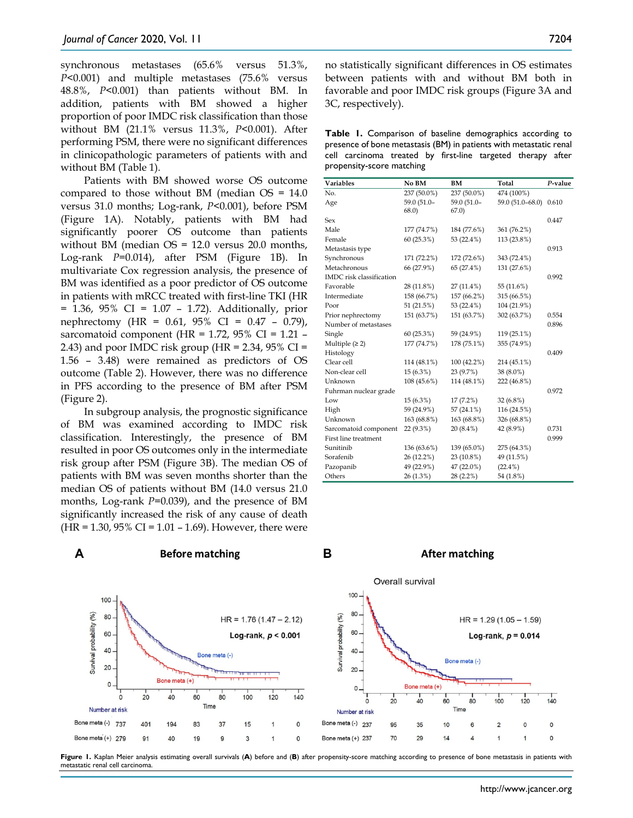synchronous metastases (65.6% versus 51.3%, *P*<0.001) and multiple metastases (75.6% versus 48.8%, *P*<0.001) than patients without BM. In addition, patients with BM showed a higher proportion of poor IMDC risk classification than those without BM (21.1% versus 11.3%, *P*<0.001). After performing PSM, there were no significant differences in clinicopathologic parameters of patients with and without BM (Table 1).

Patients with BM showed worse OS outcome compared to those without BM (median OS = 14.0 versus 31.0 months; Log-rank, *P*<0.001), before PSM (Figure 1A). Notably, patients with BM had significantly poorer OS outcome than patients without BM (median OS = 12.0 versus 20.0 months, Log-rank *P=*0.014), after PSM (Figure 1B). In multivariate Cox regression analysis, the presence of BM was identified as a poor predictor of OS outcome in patients with mRCC treated with first-line TKI (HR = 1.36, 95% CI = 1.07 – 1.72). Additionally, prior nephrectomy (HR = 0.61, 95% CI = 0.47 – 0.79), sarcomatoid component (HR =  $1.72$ ,  $95\%$  CI =  $1.21$  – 2.43) and poor IMDC risk group (HR =  $2.34$ ,  $95\%$  CI = 1.56 – 3.48) were remained as predictors of OS outcome (Table 2). However, there was no difference in PFS according to the presence of BM after PSM (Figure 2).

In subgroup analysis, the prognostic significance of BM was examined according to IMDC risk classification. Interestingly, the presence of BM resulted in poor OS outcomes only in the intermediate risk group after PSM (Figure 3B). The median OS of patients with BM was seven months shorter than the median OS of patients without BM (14.0 versus 21.0 months, Log-rank *P=*0.039), and the presence of BM significantly increased the risk of any cause of death  $(HR = 1.30, 95\% \text{ CI} = 1.01 - 1.69)$ . However, there were

| <b>Table 1.</b> Comparison of baseline demographics according to   |                                                             |  |  |  |  |  |  |  |
|--------------------------------------------------------------------|-------------------------------------------------------------|--|--|--|--|--|--|--|
| presence of bone metastasis (BM) in patients with metastatic renal |                                                             |  |  |  |  |  |  |  |
|                                                                    | cell carcinoma treated by first-line targeted therapy after |  |  |  |  |  |  |  |
| propensity-score matching                                          |                                                             |  |  |  |  |  |  |  |

| <b>Variables</b>         | No BM       | BM           | Total            | P-value |
|--------------------------|-------------|--------------|------------------|---------|
| No.                      | 237 (50.0%) | 237 (50.0%)  | 474 (100%)       |         |
| Age                      | 59.0 (51.0- | 59.0 (51.0-  | 59.0 (51.0-68.0) | 0.610   |
|                          | 68.0)       | 67.0         |                  |         |
| Sex                      |             |              |                  | 0.447   |
| Male                     | 177 (74.7%) | 184 (77.6%)  | 361 (76.2%)      |         |
| Female                   | 60(25.3%)   | 53 (22.4%)   | 113 (23.8%)      |         |
| Metastasis type          |             |              |                  | 0.913   |
| Synchronous              | 171 (72.2%) | 172 (72.6%)  | 343 (72.4%)      |         |
| Metachronous             | 66 (27.9%)  | 65 (27.4%)   | 131 (27.6%)      |         |
| IMDC risk classification |             |              |                  | 0.992   |
| Favorable                | 28 (11.8%)  | $27(11.4\%)$ | 55 (11.6%)       |         |
| Intermediate             | 158 (66.7%) | 157 (66.2%)  | 315 (66.5%)      |         |
| Poor                     | 51 (21.5%)  | 53 (22.4%)   | 104 (21.9%)      |         |
| Prior nephrectomy        | 151 (63.7%) | 151 (63.7%)  | 302 (63.7%)      | 0.554   |
| Number of metastases     |             |              |                  | 0.896   |
| Single                   | 60(25.3%)   | 59 (24.9%)   | 119 (25.1%)      |         |
| Multiple $(≥ 2)$         | 177 (74.7%) | 178 (75.1%)  | 355 (74.9%)      |         |
| Histology                |             |              |                  | 0.409   |
| Clear cell               | 114 (48.1%) | 100 (42.2%)  | 214 (45.1%)      |         |
| Non-clear cell           | $15(6.3\%)$ | 23 (9.7%)    | 38 (8.0%)        |         |
| Unknown                  | 108 (45.6%) | 114 (48.1%)  | 222 (46.8%)      |         |
| Fuhrman nuclear grade    |             |              |                  | 0.972   |
| Low                      | 15 (6.3%)   | 17(7.2%)     | 32 (6.8%)        |         |
| High                     | 59 (24.9%)  | 57 (24.1%)   | 116 (24.5%)      |         |
| Unknown                  | 163 (68.8%) | 163 (68.8%)  | 326 (68.8%)      |         |
| Sarcomatoid component    | 22 (9.3%)   | 20 (8.4%)    | 42 (8.9%)        | 0.731   |
| First line treatment     |             |              |                  | 0.999   |
| Sunitinib                | 136 (63.6%) | 139 (65.0%)  | 275 (64.3%)      |         |
| Sorafenib                | 26 (12.2%)  | 23 (10.8%)   | 49 (11.5%)       |         |
| Pazopanib                | 49 (22.9%)  | 47 (22.0%)   | $(22.4\%)$       |         |
| Others                   | 26 (1.3%)   | 28 (2.2%)    | 54 (1.8%)        |         |



Figure 1. Kaplan Meier analysis estimating overall survivals (A) before and (B) after propensity-score matching according to presence of bone metastasis in patients with metastatic renal cell carcinoma.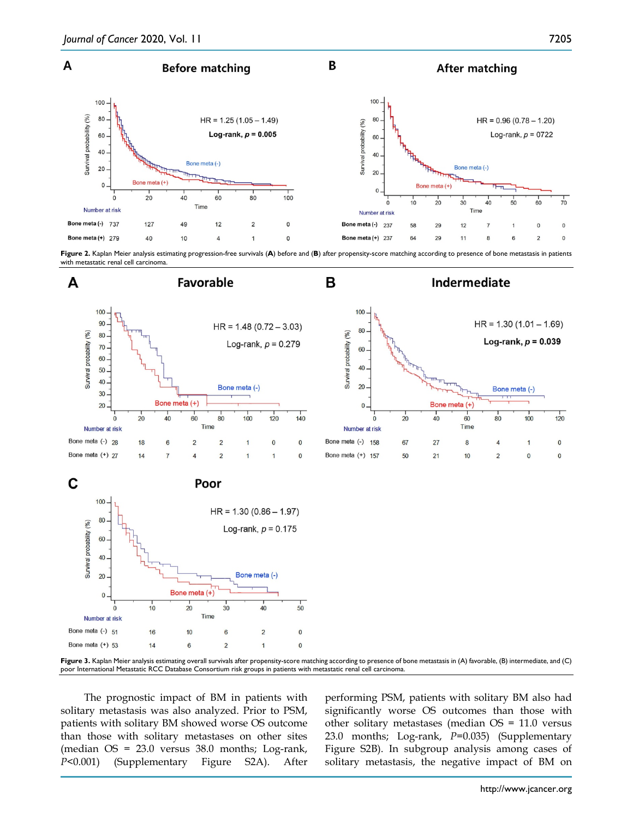

Figure 2. Kaplan Meier analysis estimating progression-free survivals (A) before and (B) after propensity-score matching according to presence of bone metastasis in patients with metastatic renal cell carcinoma



**Figure 3.** Kaplan Meier analysis estimating overall survivals after propensity-score matching according to presence of bone metastasis in (A) favorable, (B) intermediate, and (C) poor International Metastatic RCC Database Consortium risk groups in patients with metastatic renal cell carcinoma.

The prognostic impact of BM in patients with solitary metastasis was also analyzed. Prior to PSM, patients with solitary BM showed worse OS outcome than those with solitary metastases on other sites (median OS = 23.0 versus 38.0 months; Log-rank, *P*<0.001) (Supplementary Figure S2A). After performing PSM, patients with solitary BM also had significantly worse OS outcomes than those with other solitary metastases (median OS = 11.0 versus 23.0 months; Log-rank, *P=*0.035) (Supplementary Figure S2B). In subgroup analysis among cases of solitary metastasis, the negative impact of BM on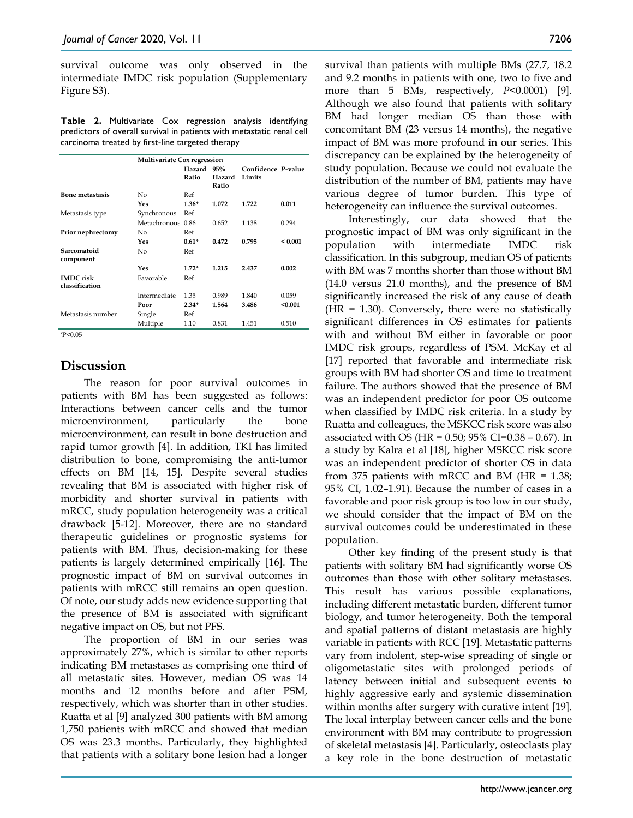survival outcome was only observed in the intermediate IMDC risk population (Supplementary Figure S3).

**Table 2.** Multivariate Cox regression analysis identifying predictors of overall survival in patients with metastatic renal cell carcinoma treated by first-line targeted therapy

|                                    | <b>Multivariate Cox regression</b> |                 |                        |                              |              |  |
|------------------------------------|------------------------------------|-----------------|------------------------|------------------------------|--------------|--|
|                                    |                                    | Hazard<br>Ratio | 95%<br>Hazard<br>Ratio | Confidence P-value<br>Limits |              |  |
| <b>Bone metastasis</b>             | No                                 | Ref             |                        |                              |              |  |
|                                    | Yes                                | $1.36*$         | 1.072                  | 1.722                        | 0.011        |  |
| Metastasis type                    | Synchronous                        | Ref             |                        |                              |              |  |
|                                    | Metachronous 0.86                  |                 | 0.652                  | 1.138                        | 0.294        |  |
| Prior nephrectomy                  | No                                 | Ref             |                        |                              |              |  |
|                                    | Yes                                | $0.61*$         | 0.472                  | 0.795                        | ${}_{0.001}$ |  |
| Sarcomatoid<br>component           | No                                 | Ref             |                        |                              |              |  |
|                                    | Yes                                | $1.72*$         | 1.215                  | 2.437                        | 0.002        |  |
| <b>IMDC</b> risk<br>classification | Favorable                          | Ref             |                        |                              |              |  |
|                                    | Intermediate                       | 1.35            | 0.989                  | 1.840                        | 0.059        |  |
|                                    | Poor                               | $2.34*$         | 1.564                  | 3.486                        | < 0.001      |  |
| Metastasis number                  | Single                             | Ref             |                        |                              |              |  |
|                                    | Multiple                           | 1.10            | 0.831                  | 1.451                        | 0.510        |  |
| P < 0.05                           |                                    |                 |                        |                              |              |  |

# **Discussion**

The reason for poor survival outcomes in patients with BM has been suggested as follows: Interactions between cancer cells and the tumor microenvironment, particularly the bone microenvironment, can result in bone destruction and rapid tumor growth [4]. In addition, TKI has limited distribution to bone, compromising the anti-tumor effects on BM [14, 15]. Despite several studies revealing that BM is associated with higher risk of morbidity and shorter survival in patients with mRCC, study population heterogeneity was a critical drawback [5-12]. Moreover, there are no standard therapeutic guidelines or prognostic systems for patients with BM. Thus, decision-making for these patients is largely determined empirically [16]. The prognostic impact of BM on survival outcomes in patients with mRCC still remains an open question. Of note, our study adds new evidence supporting that the presence of BM is associated with significant negative impact on OS, but not PFS.

The proportion of BM in our series was approximately 27%, which is similar to other reports indicating BM metastases as comprising one third of all metastatic sites. However, median OS was 14 months and 12 months before and after PSM, respectively, which was shorter than in other studies. Ruatta et al [9] analyzed 300 patients with BM among 1,750 patients with mRCC and showed that median OS was 23.3 months. Particularly, they highlighted that patients with a solitary bone lesion had a longer

survival than patients with multiple BMs (27.7, 18.2 and 9.2 months in patients with one, two to five and more than 5 BMs, respectively, *P*<0.0001) [9]. Although we also found that patients with solitary BM had longer median OS than those with concomitant BM (23 versus 14 months), the negative impact of BM was more profound in our series. This discrepancy can be explained by the heterogeneity of study population. Because we could not evaluate the distribution of the number of BM, patients may have various degree of tumor burden. This type of heterogeneity can influence the survival outcomes.

Interestingly, our data showed that the prognostic impact of BM was only significant in the population with intermediate IMDC risk classification. In this subgroup, median OS of patients with BM was 7 months shorter than those without BM (14.0 versus 21.0 months), and the presence of BM significantly increased the risk of any cause of death  $(HR = 1.30)$ . Conversely, there were no statistically significant differences in OS estimates for patients with and without BM either in favorable or poor IMDC risk groups, regardless of PSM. McKay et al [17] reported that favorable and intermediate risk groups with BM had shorter OS and time to treatment failure. The authors showed that the presence of BM was an independent predictor for poor OS outcome when classified by IMDC risk criteria. In a study by Ruatta and colleagues, the MSKCC risk score was also associated with OS (HR =  $0.50$ ;  $95\%$  CI= $0.38 - 0.67$ ). In a study by Kalra et al [18], higher MSKCC risk score was an independent predictor of shorter OS in data from 375 patients with mRCC and BM (HR = 1.38; 95% CI, 1.02–1.91). Because the number of cases in a favorable and poor risk group is too low in our study, we should consider that the impact of BM on the survival outcomes could be underestimated in these population.

Other key finding of the present study is that patients with solitary BM had significantly worse OS outcomes than those with other solitary metastases. This result has various possible explanations, including different metastatic burden, different tumor biology, and tumor heterogeneity. Both the temporal and spatial patterns of distant metastasis are highly variable in patients with RCC [19]. Metastatic patterns vary from indolent, step-wise spreading of single or oligometastatic sites with prolonged periods of latency between initial and subsequent events to highly aggressive early and systemic dissemination within months after surgery with curative intent [19]. The local interplay between cancer cells and the bone environment with BM may contribute to progression of skeletal metastasis [4]. Particularly, osteoclasts play a key role in the bone destruction of metastatic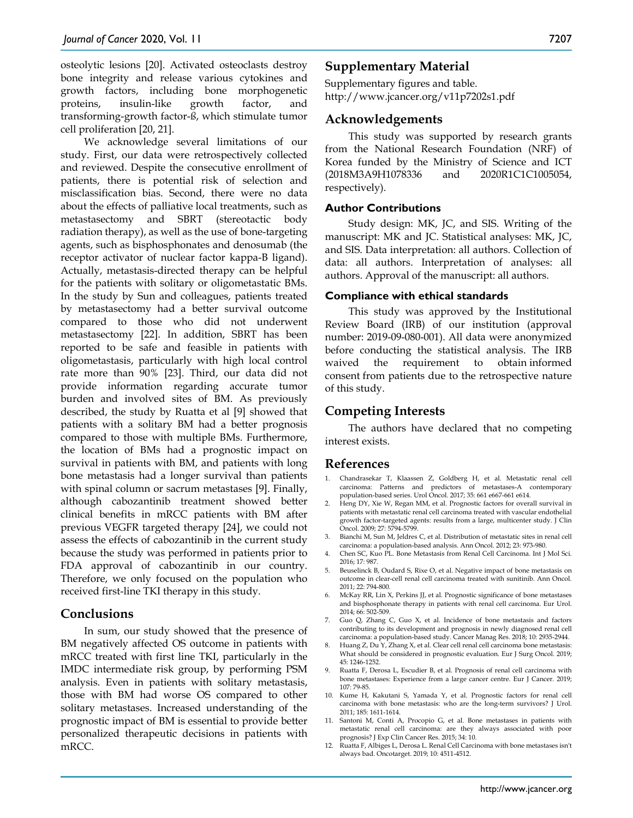osteolytic lesions [20]. Activated osteoclasts destroy bone integrity and release various cytokines and growth factors, including bone morphogenetic proteins, insulin-like growth factor, and transforming-growth factor-ß, which stimulate tumor cell proliferation [20, 21].

We acknowledge several limitations of our study. First, our data were retrospectively collected and reviewed. Despite the consecutive enrollment of patients, there is potential risk of selection and misclassification bias. Second, there were no data about the effects of palliative local treatments, such as metastasectomy and SBRT (stereotactic body radiation therapy), as well as the use of bone-targeting agents, such as bisphosphonates and denosumab (the receptor activator of nuclear factor kappa-B ligand). Actually, metastasis-directed therapy can be helpful for the patients with solitary or oligometastatic BMs. In the study by Sun and colleagues, patients treated by metastasectomy had a better survival outcome compared to those who did not underwent metastasectomy [22]. In addition, SBRT has been reported to be safe and feasible in patients with oligometastasis, particularly with high local control rate more than 90% [23]. Third, our data did not provide information regarding accurate tumor burden and involved sites of BM. As previously described, the study by Ruatta et al [9] showed that patients with a solitary BM had a better prognosis compared to those with multiple BMs. Furthermore, the location of BMs had a prognostic impact on survival in patients with BM, and patients with long bone metastasis had a longer survival than patients with spinal column or sacrum metastases [9]. Finally, although cabozantinib treatment showed better clinical benefits in mRCC patients with BM after previous VEGFR targeted therapy [24], we could not assess the effects of cabozantinib in the current study because the study was performed in patients prior to FDA approval of cabozantinib in our country. Therefore, we only focused on the population who received first-line TKI therapy in this study.

### **Conclusions**

In sum, our study showed that the presence of BM negatively affected OS outcome in patients with mRCC treated with first line TKI, particularly in the IMDC intermediate risk group, by performing PSM analysis. Even in patients with solitary metastasis, those with BM had worse OS compared to other solitary metastases. Increased understanding of the prognostic impact of BM is essential to provide better personalized therapeutic decisions in patients with mRCC.

## **Supplementary Material**

Supplementary figures and table. http://www.jcancer.org/v11p7202s1.pdf

#### **Acknowledgements**

This study was supported by research grants from the National Research Foundation (NRF) of Korea funded by the Ministry of Science and ICT (2018M3A9H1078336 and 2020R1C1C1005054, respectively).

#### **Author Contributions**

Study design: MK, JC, and SIS. Writing of the manuscript: MK and JC. Statistical analyses: MK, JC, and SIS. Data interpretation: all authors. Collection of data: all authors. Interpretation of analyses: all authors. Approval of the manuscript: all authors.

#### **Compliance with ethical standards**

This study was approved by the Institutional Review Board (IRB) of our institution (approval number: 2019-09-080-001). All data were anonymized before conducting the statistical analysis. The IRB waived the requirement to obtain informed consent from patients due to the retrospective nature of this study.

#### **Competing Interests**

The authors have declared that no competing interest exists.

#### **References**

- 1. Chandrasekar T, Klaassen Z, Goldberg H, et al. Metastatic renal cell carcinoma: Patterns and predictors of metastases-A contemporary population-based series. Urol Oncol. 2017; 35: 661 e667-661 e614.
- 2. Heng DY, Xie W, Regan MM, et al. Prognostic factors for overall survival in patients with metastatic renal cell carcinoma treated with vascular endothelial growth factor-targeted agents: results from a large, multicenter study. J Clin Oncol. 2009; 27: 5794-5799.
- 3. Bianchi M, Sun M, Jeldres C, et al. Distribution of metastatic sites in renal cell carcinoma: a population-based analysis. Ann Oncol. 2012; 23: 973-980.
- 4. Chen SC, Kuo PL. Bone Metastasis from Renal Cell Carcinoma. Int J Mol Sci. 2016; 17: 987.
- 5. Beuselinck B, Oudard S, Rixe O, et al. Negative impact of bone metastasis on outcome in clear-cell renal cell carcinoma treated with sunitinib. Ann Oncol. 2011; 22: 794-800.
- 6. McKay RR, Lin X, Perkins JJ, et al. Prognostic significance of bone metastases and bisphosphonate therapy in patients with renal cell carcinoma. Eur Urol. 2014; 66: 502-509.
- 7. Guo Q, Zhang C, Guo X, et al. Incidence of bone metastasis and factors contributing to its development and prognosis in newly diagnosed renal cell carcinoma: a population-based study. Cancer Manag Res. 2018; 10: 2935-2944.
- 8. Huang Z, Du Y, Zhang X, et al. Clear cell renal cell carcinoma bone metastasis: What should be considered in prognostic evaluation. Eur J Surg Oncol. 2019; 45: 1246-1252.
- 9. Ruatta F, Derosa L, Escudier B, et al. Prognosis of renal cell carcinoma with bone metastases: Experience from a large cancer centre. Eur J Cancer. 2019; 107: 79-85.
- 10. Kume H, Kakutani S, Yamada Y, et al. Prognostic factors for renal cell carcinoma with bone metastasis: who are the long-term survivors? J Urol. 2011; 185: 1611-1614.
- 11. Santoni M, Conti A, Procopio G, et al. Bone metastases in patients with metastatic renal cell carcinoma: are they always associated with poor prognosis? J Exp Clin Cancer Res. 2015; 34: 10.
- 12. Ruatta F, Albiges L, Derosa L. Renal Cell Carcinoma with bone metastases isn't always bad. Oncotarget. 2019; 10: 4511-4512.